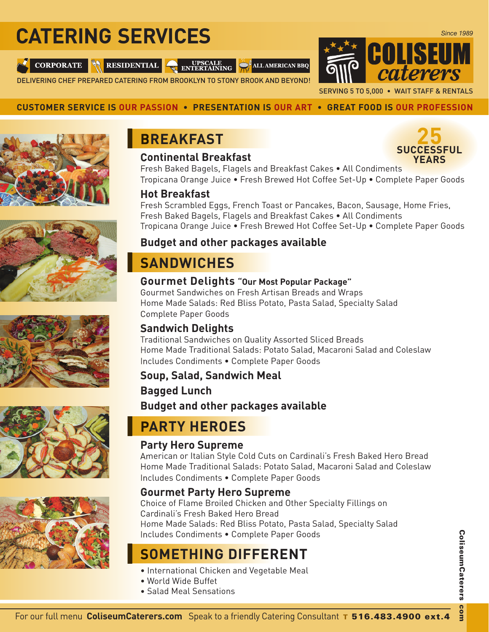# **CATERING SERVICES**

**CORPORATE** 



**ENTERTAINING** ALL AMERICAN BBQ

DELIVERING CHEF PREPARED CATERING FROM BROOKLYN TO STONY BROOK AND BEYOND!



### **CUSTOMER SERVICE IS OUR PASSION • PRESENTATION IS OUR ART • GREAT FOOD IS OUR PROFESSION**





### **Continental Breakfast**



Fresh Baked Bagels, Flagels and Breakfast Cakes • All Condiments Tropicana Orange Juice • Fresh Brewed Hot Coffee Set-Up • Complete Paper Goods

### **Hot Breakfast**

Fresh Scrambled Eggs, French Toast or Pancakes, Bacon, Sausage, Home Fries, Fresh Baked Bagels, Flagels and Breakfast Cakes • All Condiments Tropicana Orange Juice • Fresh Brewed Hot Coffee Set-Up • Complete Paper Goods

### **Budget and other packages available**

# **SANDWICHES**

### **Gourmet Delights "Our Most Popular Package"**

Gourmet Sandwiches on Fresh Artisan Breads and Wraps Home Made Salads: Red Bliss Potato, Pasta Salad, Specialty Salad Complete Paper Goods

### **Sandwich Delights**

Traditional Sandwiches on Quality Assorted Sliced Breads Home Made Traditional Salads: Potato Salad, Macaroni Salad and Coleslaw Includes Condiments • Complete Paper Goods Good

### **Soup, Salad, Sandwich Meal Bagged Lunch Budget and other packages available**

# **PARTY HEROES**

### **Party Hero Supreme**

American or Italian Style Cold Cuts on Cardinali's Fresh Baked Hero Bread Home Made Traditional Salads: Potato Salad, Macaroni Salad and Coleslaw Includes Condiments • Complete Paper Goods

### **Gourmet Party Hero Supreme**

Choice of Flame Broiled Chicken and Other Specialty Fillings on Cardinali's Fresh Baked Hero Bread Home Made Salads: Red Bliss Potato, Pasta Salad, Specialty Salad Includes Condiments • Complete Paper Goods

# **SOMETHING DIFFERENT DIFFERE**

- International Chicken and Vegetable Meal
- World Wide Buffet
- Salad Meal Sensations

# For our full menu **ColiseumCaterers.com** Speak to a friendly Catering Consultant T 516.483.4900 ext.4

com